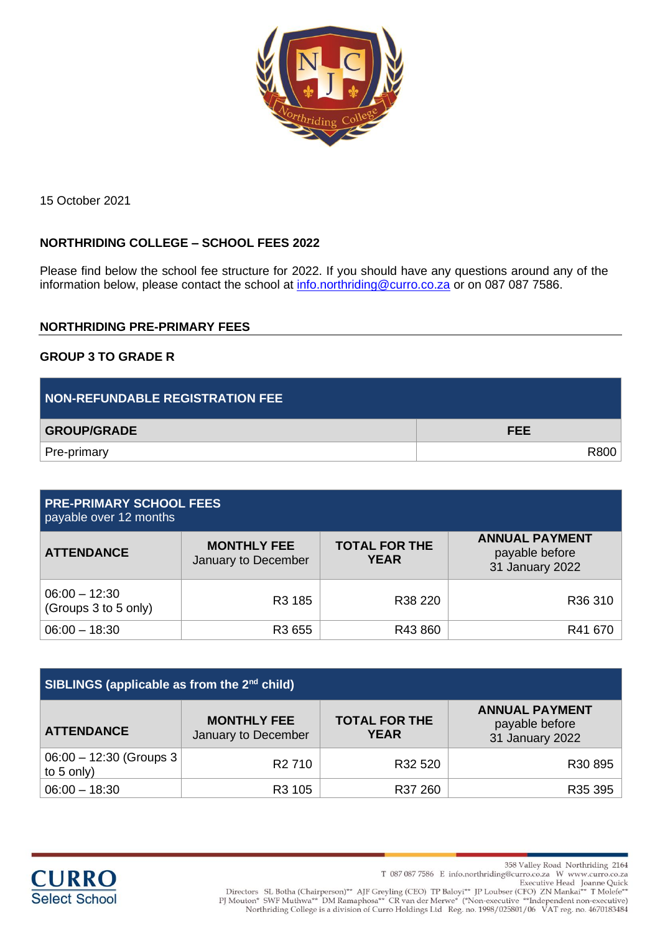

15 October 2021

# **NORTHRIDING COLLEGE – SCHOOL FEES 2022**

Please find below the school fee structure for 2022. If you should have any questions around any of the information below, please contact the school at [info.northriding@curro.co.za](mailto:info.northriding@curro.co.za) or on 087 087 7586.

### **NORTHRIDING PRE-PRIMARY FEES**

#### **GROUP 3 TO GRADE R**

| <b>NON-REFUNDABLE REGISTRATION FEE</b> |            |
|----------------------------------------|------------|
| <b>GROUP/GRADE</b>                     | <b>FEE</b> |
| Pre-primary                            | R800       |

| <b>PRE-PRIMARY SCHOOL FEES</b><br>payable over 12 months |                                           |                                     |                                                            |
|----------------------------------------------------------|-------------------------------------------|-------------------------------------|------------------------------------------------------------|
| <b>ATTENDANCE</b>                                        | <b>MONTHLY FEE</b><br>January to December | <b>TOTAL FOR THE</b><br><b>YEAR</b> | <b>ANNUAL PAYMENT</b><br>payable before<br>31 January 2022 |
| $06:00 - 12:30$<br>(Groups 3 to 5 only)                  | R <sub>3</sub> 185                        | R <sub>38</sub> 220                 | R <sub>36</sub> 310                                        |
| $06:00 - 18:30$                                          | R3 655                                    | R43860                              | R41 670                                                    |

| SIBLINGS (applicable as from the 2 <sup>nd</sup> child) |                                           |                                     |                                                            |
|---------------------------------------------------------|-------------------------------------------|-------------------------------------|------------------------------------------------------------|
| <b>ATTENDANCE</b>                                       | <b>MONTHLY FEE</b><br>January to December | <b>TOTAL FOR THE</b><br><b>YEAR</b> | <b>ANNUAL PAYMENT</b><br>payable before<br>31 January 2022 |
| $06:00 - 12:30$ (Groups 3<br>to $5$ only)               | R <sub>2</sub> 710                        | R32 520                             | R30 895                                                    |
| $06:00 - 18:30$                                         | R <sub>3</sub> 105                        | R37 260                             | R35 395                                                    |



358 Valley Road Northriding 2164

T 087 087 7586 E info.northriding@curro.co.za W www.curro.co.za

Directors SL Botha (Chairperson)\*\* AJF Greyling (CEO) TP Baloyi\*\* JP Loubser (CFO) ZN Mankai\*\* T Molefe\*<br>Executive Head Joanne Quick<br>PJ Mouton\* SWF Muthwa\*\* DM Ramaphosa\*\* CR van der Merwe\* (\*Non-executive \*\*Independent no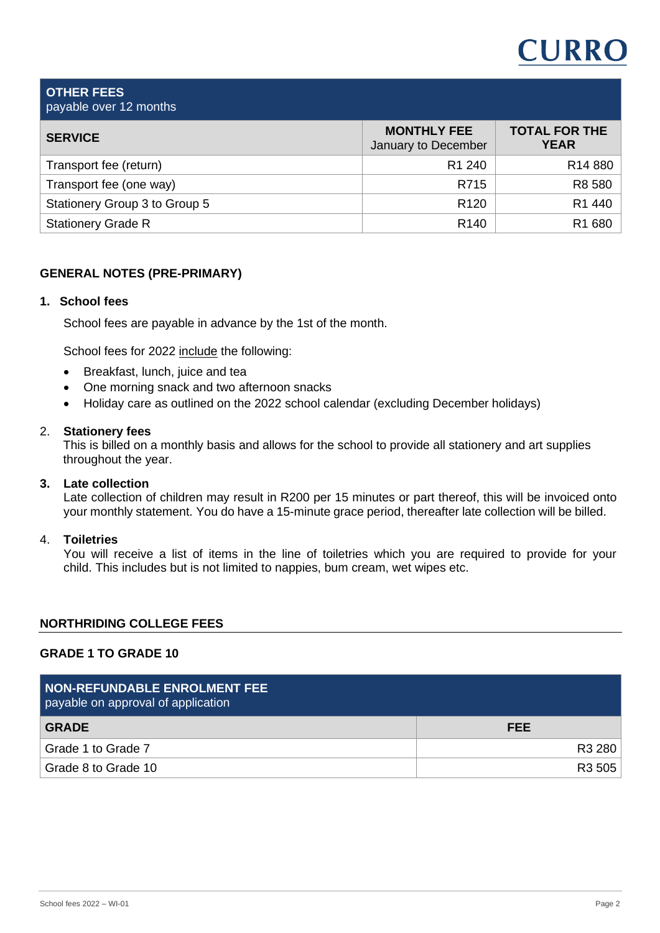# **CURRO**

#### **OTHER FEES** payable over 12 months

| <b>SERVICE</b>                | <b>MONTHLY FEE</b><br>January to December | <b>TOTAL FOR THE</b><br><b>YEAR</b> |
|-------------------------------|-------------------------------------------|-------------------------------------|
| Transport fee (return)        | R <sub>1</sub> 240                        | R <sub>14</sub> 880                 |
| Transport fee (one way)       | R715                                      | R8 580                              |
| Stationery Group 3 to Group 5 | R <sub>120</sub>                          | R1 440                              |
| <b>Stationery Grade R</b>     | R <sub>140</sub>                          | R1 680                              |

# **GENERAL NOTES (PRE-PRIMARY)**

# **1. School fees**

School fees are payable in advance by the 1st of the month.

School fees for 2022 include the following:

- Breakfast, lunch, juice and tea
- One morning snack and two afternoon snacks
- Holiday care as outlined on the 2022 school calendar (excluding December holidays)

### 2. **Stationery fees**

This is billed on a monthly basis and allows for the school to provide all stationery and art supplies throughout the year.

# **3. Late collection**

Late collection of children may result in R200 per 15 minutes or part thereof, this will be invoiced onto your monthly statement. You do have a 15-minute grace period, thereafter late collection will be billed.

### 4. **Toiletries**

You will receive a list of items in the line of toiletries which you are required to provide for your child. This includes but is not limited to nappies, bum cream, wet wipes etc.

# **NORTHRIDING COLLEGE FEES**

# **GRADE 1 TO GRADE 10**

| <b>NON-REFUNDABLE ENROLMENT FEE</b><br>payable on approval of application |            |
|---------------------------------------------------------------------------|------------|
| <b>GRADE</b>                                                              | <b>FEE</b> |
| Grade 1 to Grade 7                                                        | R3 280     |
| Grade 8 to Grade 10                                                       | R3 505     |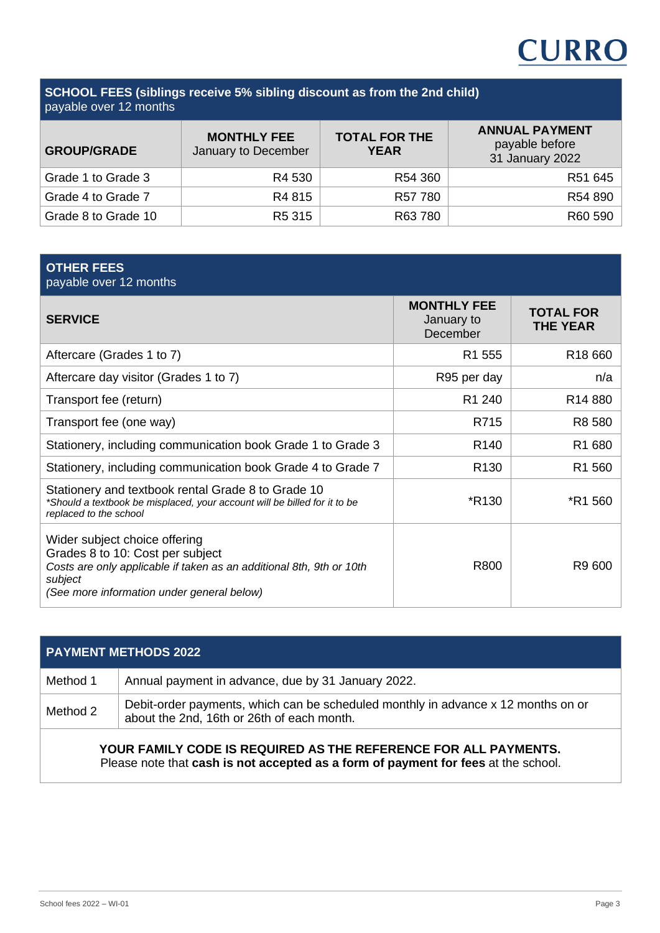# **CURRO**

### **SCHOOL FEES (siblings receive 5% sibling discount as from the 2nd child)** payable over 12 months

| <b>GROUP/GRADE</b>  | <b>MONTHLY FEE</b><br>January to December | <b>TOTAL FOR THE</b><br><b>YEAR</b> | <b>ANNUAL PAYMENT</b><br>payable before<br>31 January 2022 |
|---------------------|-------------------------------------------|-------------------------------------|------------------------------------------------------------|
| Grade 1 to Grade 3  | R4 530                                    | R54 360                             | R51 645                                                    |
| Grade 4 to Grade 7  | R4 815                                    | R57 780                             | R54 890                                                    |
| Grade 8 to Grade 10 | R <sub>5</sub> 315                        | R63 780                             | R60 590                                                    |

# **OTHER FEES**

| payable over 12 months                                                                                                                                                                             |                                              |                                     |
|----------------------------------------------------------------------------------------------------------------------------------------------------------------------------------------------------|----------------------------------------------|-------------------------------------|
| <b>SERVICE</b>                                                                                                                                                                                     | <b>MONTHLY FEE</b><br>January to<br>December | <b>TOTAL FOR</b><br><b>THE YEAR</b> |
| Aftercare (Grades 1 to 7)                                                                                                                                                                          | R <sub>1</sub> 555                           | R <sub>18</sub> 660                 |
| Aftercare day visitor (Grades 1 to 7)                                                                                                                                                              | R95 per day                                  | n/a                                 |
| Transport fee (return)                                                                                                                                                                             | R <sub>1</sub> 240                           | R <sub>14</sub> 880                 |
| Transport fee (one way)                                                                                                                                                                            | R715                                         | R8 580                              |
| Stationery, including communication book Grade 1 to Grade 3                                                                                                                                        | R <sub>140</sub>                             | R1 680                              |
| Stationery, including communication book Grade 4 to Grade 7                                                                                                                                        | R <sub>130</sub>                             | R <sub>1</sub> 560                  |
| Stationery and textbook rental Grade 8 to Grade 10<br>*Should a textbook be misplaced, your account will be billed for it to be<br>replaced to the school                                          | *R <sub>130</sub>                            | *R1 560                             |
| Wider subject choice offering<br>Grades 8 to 10: Cost per subject<br>Costs are only applicable if taken as an additional 8th, 9th or 10th<br>subject<br>(See more information under general below) | R800                                         | R9 600                              |

| <b>PAYMENT METHODS 2022</b>                                     |                                                                                                                                 |  |  |
|-----------------------------------------------------------------|---------------------------------------------------------------------------------------------------------------------------------|--|--|
| Method 1                                                        | Annual payment in advance, due by 31 January 2022.                                                                              |  |  |
| Method 2                                                        | Debit-order payments, which can be scheduled monthly in advance x 12 months on or<br>about the 2nd, 16th or 26th of each month. |  |  |
| YOUR FAMILY CODE IS REQUIRED AS THE REFERENCE FOR ALL PAYMENTS. |                                                                                                                                 |  |  |

Please note that **cash is not accepted as a form of payment for fees** at the school.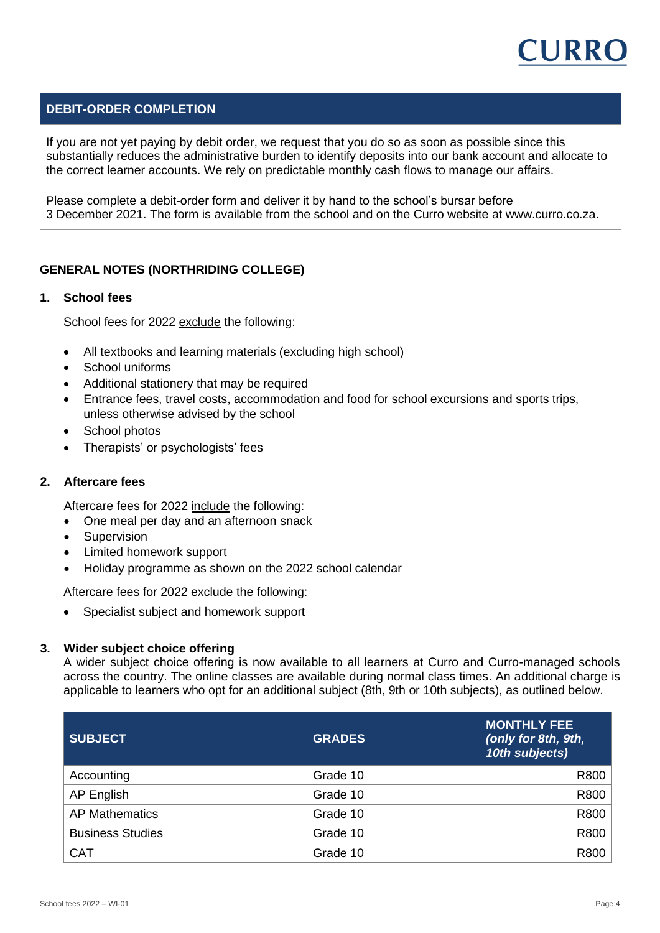

# **DEBIT-ORDER COMPLETION**

If you are not yet paying by debit order, we request that you do so as soon as possible since this substantially reduces the administrative burden to identify deposits into our bank account and allocate to the correct learner accounts. We rely on predictable monthly cash flows to manage our affairs.

Please complete a debit-order form and deliver it by hand to the school's bursar before 3 December 2021. The form is available from the school and on the Curro website at www.curro.co.za.

### **GENERAL NOTES (NORTHRIDING COLLEGE)**

#### **1. School fees**

School fees for 2022 exclude the following:

- All textbooks and learning materials (excluding high school)
- School uniforms
- Additional stationery that may be required
- Entrance fees, travel costs, accommodation and food for school excursions and sports trips, unless otherwise advised by the school
- School photos
- Therapists' or psychologists' fees

#### **2. Aftercare fees**

Aftercare fees for 2022 include the following:

- One meal per day and an afternoon snack
- Supervision
- Limited homework support
- Holiday programme as shown on the 2022 school calendar

Aftercare fees for 2022 exclude the following:

• Specialist subject and homework support

#### **3. Wider subject choice offering**

A wider subject choice offering is now available to all learners at Curro and Curro-managed schools across the country. The online classes are available during normal class times. An additional charge is applicable to learners who opt for an additional subject (8th, 9th or 10th subjects), as outlined below.

| <b>SUBJECT</b>          | <b>GRADES</b> | <b>MONTHLY FEE</b><br>(only for 8th, 9th,<br>10th subjects) |
|-------------------------|---------------|-------------------------------------------------------------|
| Accounting              | Grade 10      | R800                                                        |
| AP English              | Grade 10      | R800                                                        |
| <b>AP Mathematics</b>   | Grade 10      | R800                                                        |
| <b>Business Studies</b> | Grade 10      | R800                                                        |
| <b>CAT</b>              | Grade 10      | R800                                                        |